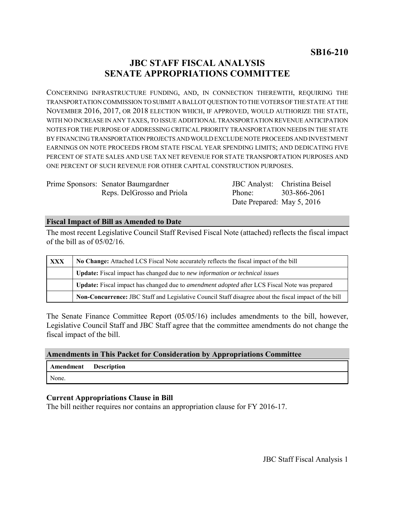# **JBC STAFF FISCAL ANALYSIS SENATE APPROPRIATIONS COMMITTEE**

CONCERNING INFRASTRUCTURE FUNDING, AND, IN CONNECTION THEREWITH, REQUIRING THE TRANSPORTATION COMMISSION TO SUBMIT A BALLOT QUESTION TO THE VOTERS OF THE STATE AT THE NOVEMBER 2016, 2017, OR 2018 ELECTION WHICH, IF APPROVED, WOULD AUTHORIZE THE STATE, WITH NO INCREASE IN ANY TAXES, TO ISSUE ADDITIONAL TRANSPORTATION REVENUE ANTICIPATION NOTES FOR THE PURPOSE OF ADDRESSING CRITICAL PRIORITY TRANSPORTATION NEEDS IN THE STATE BY FINANCING TRANSPORTATION PROJECTS AND WOULD EXCLUDE NOTE PROCEEDS AND INVESTMENT EARNINGS ON NOTE PROCEEDS FROM STATE FISCAL YEAR SPENDING LIMITS; AND DEDICATING FIVE PERCENT OF STATE SALES AND USE TAX NET REVENUE FOR STATE TRANSPORTATION PURPOSES AND ONE PERCENT OF SUCH REVENUE FOR OTHER CAPITAL CONSTRUCTION PURPOSES.

Prime Sponsors: Senator Baumgardner Reps. DelGrosso and Priola

JBC Analyst: Christina Beisel Phone: Date Prepared: May 5, 2016 303-866-2061

#### **Fiscal Impact of Bill as Amended to Date**

The most recent Legislative Council Staff Revised Fiscal Note (attached) reflects the fiscal impact of the bill as of 05/02/16.

| XXX | No Change: Attached LCS Fiscal Note accurately reflects the fiscal impact of the bill                       |
|-----|-------------------------------------------------------------------------------------------------------------|
|     | <b>Update:</b> Fiscal impact has changed due to new information or technical issues                         |
|     | <b>Update:</b> Fiscal impact has changed due to <i>amendment adopted</i> after LCS Fiscal Note was prepared |
|     | Non-Concurrence: JBC Staff and Legislative Council Staff disagree about the fiscal impact of the bill       |

The Senate Finance Committee Report (05/05/16) includes amendments to the bill, however, Legislative Council Staff and JBC Staff agree that the committee amendments do not change the fiscal impact of the bill.

#### **Amendments in This Packet for Consideration by Appropriations Committee**

| <b>Amendment</b> Description |  |
|------------------------------|--|
| None.                        |  |

## **Current Appropriations Clause in Bill**

The bill neither requires nor contains an appropriation clause for FY 2016-17.